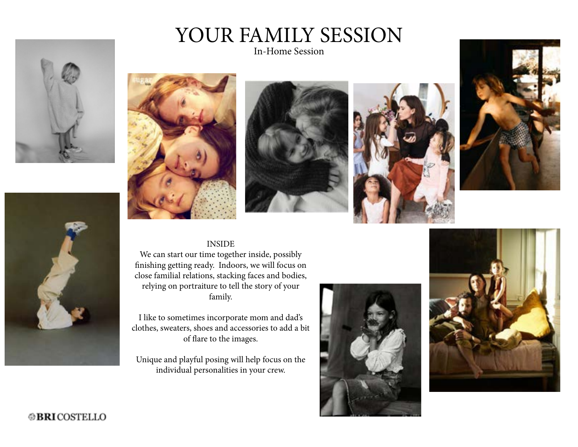





In-Home Session









#### INSIDE

We can start our time together inside, possibly finishing getting ready. Indoors, we will focus on close familial relations, stacking faces and bodies, relying on portraiture to tell the story of your family.

I like to sometimes incorporate mom and dad's clothes, sweaters, shoes and accessories to add a bit of flare to the images.

Unique and playful posing will help focus on the individual personalities in your crew.





# **@BRICOSTELLO**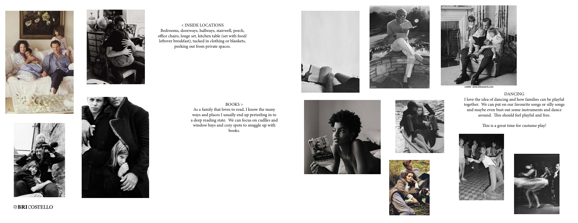







< INSIDE LOCATIONS Bedrooms, doorways, hallways, stairwell, porch, office chairs, louge set, kitchen table (set with food/ leftover breakfast), tucked in clothing or blankets, peeking out from private spaces.



### BOOKS >

As a family that loves to read, I know the many ways and places I usually end up pretzeling in to a deep reading state. We can focus on cudlles and window bays and cozy spots to snuggle up with books.



**@BRICOSTELLO** 







r22880 www.fotosearch.com





DANCING I love the idea of dancing and how families can be playful together. We can put on our favourite songs or silly songs and maybe even bust out some instruments and dance around. This should feel playful and free.

This is a great time for custume play!



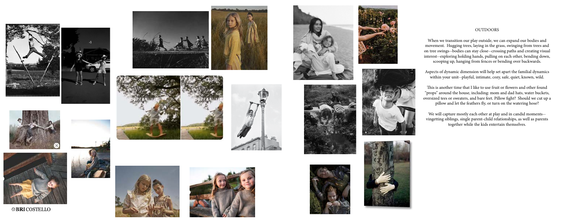







**@BRICOSTELLO** 









### OUTDOORS























When we transition our play outside, we can expand our bodies and movement. Hugging trees, laying in the grass, swinging from trees and on tree swings--bodies can stay close--crossing paths and creating visual interest--exploring holding hands, pulling on each other, bending down, scooping up, hanging from fences or bending over backwards.

Aspects of dynamic dimension will help set apart the familial dynamics within your unit--playful, intimate, cozy, safe, quiet, known, wild.

This is another time that I like to use fruit or flowers and other found "props" around the house, including: mom and dad hats, water buckets, oversized tees or sweaters, and bare feet. Pillow fight? Should we cut up a pillow and let the feathers fly, or turn on the watering hose?

We will capture mostly each other at play and in candid moments- vingetting siblings, single parent-child relationships, as well as parents together while the kids entertain themselves.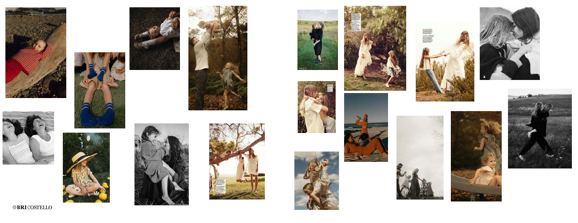





















 $\circledast$ BRICOSTELLO